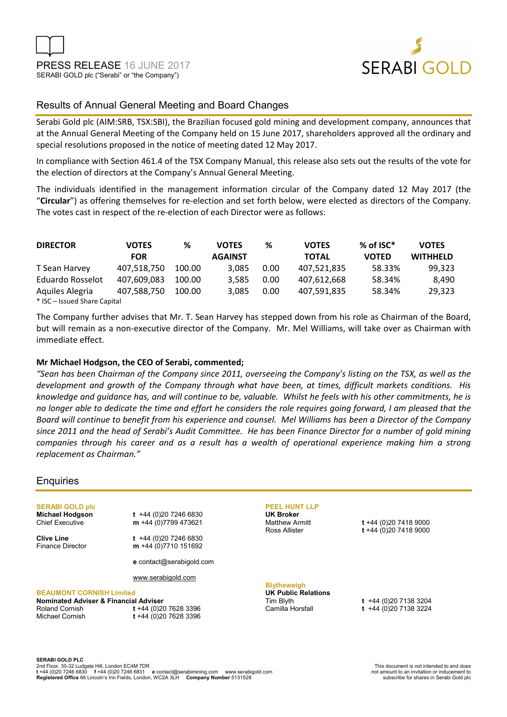



# Results of Annual General Meeting and Board Changes

Serabi Gold plc (AIM:SRB, TSX:SBI), the Brazilian focused gold mining and development company, announces that at the Annual General Meeting of the Company held on 15 June 2017, shareholders approved all the ordinary and special resolutions proposed in the notice of meeting dated 12 May 2017.

In compliance with Section 461.4 of the TSX Company Manual, this release also sets out the results of the vote for the election of directors at the Company's Annual General Meeting.

The individuals identified in the management information circular of the Company dated 12 May 2017 (the "**Circular**") as offering themselves for re-election and set forth below, were elected as directors of the Company. The votes cast in respect of the re-election of each Director were as follows:

| <b>DIRECTOR</b>              | <b>VOTES</b> | %      | %<br><b>VOTES</b><br><b>VOTES</b> |      |              | $%$ of ISC $*$ | <b>VOTES</b>    |
|------------------------------|--------------|--------|-----------------------------------|------|--------------|----------------|-----------------|
|                              | <b>FOR</b>   |        | <b>AGAINST</b>                    |      | <b>TOTAL</b> | <b>VOTED</b>   | <b>WITHHELD</b> |
| T Sean Harvey                | 407.518.750  | 100.00 | 3.085                             | 0.00 | 407,521,835  | 58.33%         | 99.323          |
| Eduardo Rosselot             | 407.609.083  | 100.00 | 3.585                             | 0.00 | 407,612,668  | 58.34%         | 8.490           |
| Aquiles Alegria              | 407.588.750  | 100.00 | 3.085                             | 0.00 | 407.591.835  | 58.34%         | 29.323          |
| * ISC - Issued Share Capital |              |        |                                   |      |              |                |                 |

The Company further advises that Mr. T. Sean Harvey has stepped down from his role as Chairman of the Board, but will remain as a non-executive director of the Company. Mr. Mel Williams, will take over as Chairman with immediate effect.

## **Mr Michael Hodgson, the CEO of Serabi, commented;**

*"Sean has been Chairman of the Company since 2011, overseeing the Company's listing on the TSX, as well as the development and growth of the Company through what have been, at times, difficult markets conditions. His knowledge and guidance has, and will continue to be, valuable. Whilst he feels with his other commitments, he is no longer able to dedicate the time and effort he considers the role requires going forward, I am pleased that the Board will continue to benefit from his experience and counsel. Mel Williams has been a Director of the Company since 2011 and the head of Serabi's Audit Committee. He has been Finance Director for a number of gold mining companies through his career and as a result has a wealth of operational experience making him a strong replacement as Chairman."* 

## **Enquiries**

**SERABI GOLD plc** 

**Michael Hodgson t** +44 (0)20 7246 6830 Chief Executive **m** +44 (0)7799 473621

**Clive Line** t +44 (0)20 7246 6830<br>Finance Director **m** +44 (0)7710 151692 m +44 (0)7710 151692

www.serabigold.com

#### **BEAUMONT CORNISH Limited**

| Nominated Adviser & Financial . |             |
|---------------------------------|-------------|
| Roland Cornish                  | t +         |
| Michael Cornish                 | $^{\ast}$ + |

**e** contact@serabigold.com

#### **Adviser**

Roland Cornish **t** +44 (0)20 7628 3396 Michael Cornish **t** +44 (0)20 7628 3396

## **PEEL HUNT LLP**

**UK Broker**

Matthew Armitt **t** +44 (0)20 7418 9000 Ross Allister **t** +44 (0)20 7418 9000

#### **Blytheweigh**

**UK Public Relations**  Tim Blyth **t** +44 (0)20 7138 3204

Camilla Horsfall **t** +44 (0)20 7138 3224